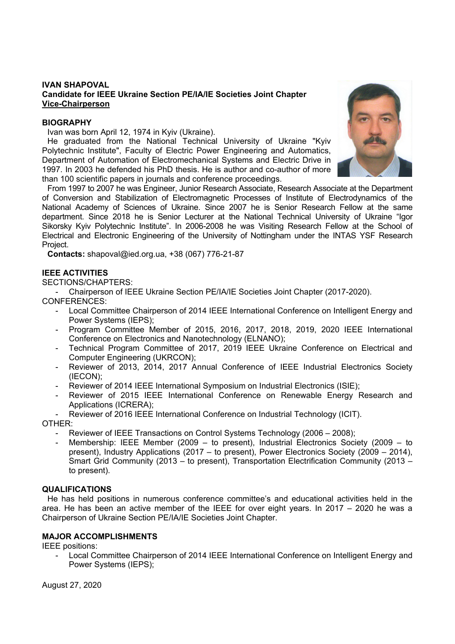# **IVAN SHAPOVAL Candidate for IEEE Ukraine Section PE/IA/IE Societies Joint Chapter Vice-Chairperson**

## **BIOGRAPHY**

Ivan was born April 12, 1974 in Kyiv (Ukraine).

He graduated from the National Technical University of Ukraine "Kyiv Polytechnic Institute", Faculty of Electric Power Engineering and Automatics, Department of Automation of Electromechanical Systems and Electric Drive in 1997. In 2003 he defended his PhD thesis. He is author and co-author of more than 100 scientific papers in journals and conference proceedings.



From 1997 to 2007 he was Engineer, Junior Research Associate, Research Associate at the Department of Conversion and Stabilization of Electromagnetic Processes of Institute of Electrodynamics of the National Academy of Sciences of Ukraine. Since 2007 he is Senior Research Fellow at the same department. Since 2018 he is Senior Lecturer at the National Technical University of Ukraine "Igor Sikorsky Kyiv Polytechnic Institute". In 2006-2008 he was Visiting Research Fellow at the School of Electrical and Electronic Engineering of the University of Nottingham under the INTAS YSF Research Project.

**Contacts:** shapoval@ied.org.ua, +38 (067) 776-21-87

## **IEEE ACTIVITIES**

SECTIONS/CHAPTERS:

- Chairperson of IEEE Ukraine Section PE/IA/IE Societies Joint Chapter (2017-2020).

CONFERENCES:

- Local Committee Chairperson of 2014 IEEE International Conference on Intelligent Energy and Power Systems (IEPS);
- Program Committee Member of 2015, 2016, 2017, 2018, 2019, 2020 IEEE International Conference on Electronics and Nanotechnology (ELNANO);
- Technical Program Committee of 2017, 2019 IEEE Ukraine Conference on Electrical and Computer Engineering (UKRCON);
- Reviewer of 2013, 2014, 2017 Annual Conference of IEEE Industrial Electronics Society (IECON);
- Reviewer of 2014 IEEE International Symposium on Industrial Electronics (ISIE);
- Reviewer of 2015 IEEE International Conference on Renewable Energy Research and Applications (ICRERA);
- Reviewer of 2016 IEEE International Conference on Industrial Technology (ICIT).

OTHER:

- Reviewer of IEEE Transactions on Control Systems Technology (2006 2008);
- Membership: IEEE Member (2009 to present), Industrial Electronics Society (2009 to present), Industry Applications (2017 – to present), Power Electronics Society (2009 – 2014), Smart Grid Community (2013 – to present), Transportation Electrification Community (2013 – to present).

#### **QUALIFICATIONS**

He has held positions in numerous conference committee's and educational activities held in the area. He has been an active member of the IEEE for over eight years. In 2017 – 2020 he was a Chairperson of Ukraine Section PE/IA/IE Societies Joint Chapter.

#### **MAJOR ACCOMPLISHMENTS**

IEEE positions:

Local Committee Chairperson of 2014 IEEE International Conference on Intelligent Energy and Power Systems (IEPS);

August 27, 2020